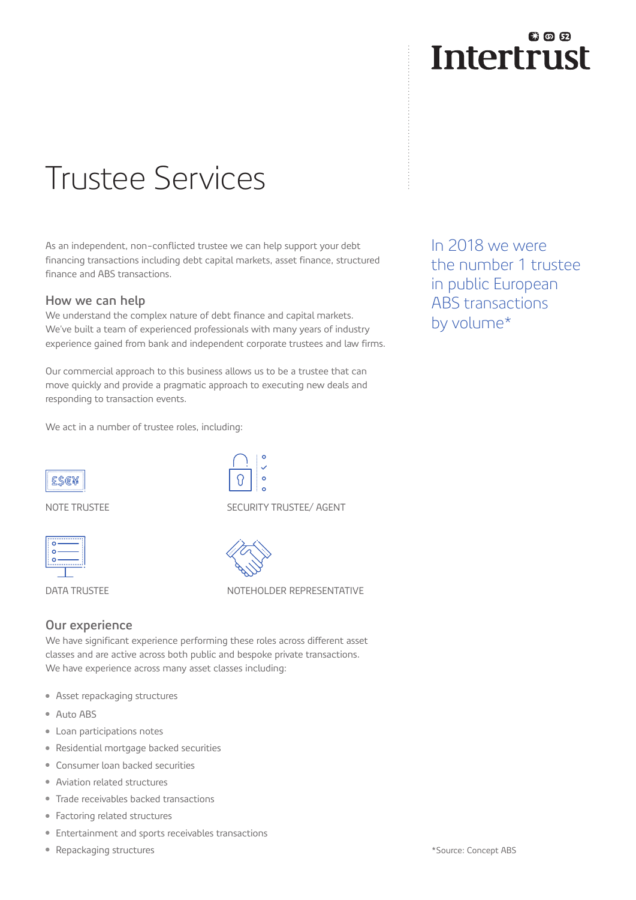## 我の田 **Intertrust**

# Trustee Services

As an independent, non-conflicted trustee we can help support your debt financing transactions including debt capital markets, asset finance, structured finance and ABS transactions.

#### **How we can help**

We understand the complex nature of debt finance and capital markets. We've built a team of experienced professionals with many years of industry experience gained from bank and independent corporate trustees and law firms.

Our commercial approach to this business allows us to be a trustee that can move quickly and provide a pragmatic approach to executing new deals and responding to transaction events.

We act in a number of trustee roles, including:

In 2018 we were the number 1 trustee in public European ABS transactions by volume\*

ESE¥

NOTE TRUSTEE





DATA TRUSTEE

SECURITY TRUSTEE/ AGENT



NOTEHOLDER REPRESENTATIVE

#### **Our experience**

We have significant experience performing these roles across different asset classes and are active across both public and bespoke private transactions. We have experience across many asset classes including:

- Asset repackaging structures
- Auto ABS
- Loan participations notes
- Residential mortgage backed securities
- Consumer loan backed securities
- Aviation related structures
- Trade receivables backed transactions
- Factoring related structures
- Entertainment and sports receivables transactions
- Repackaging structures